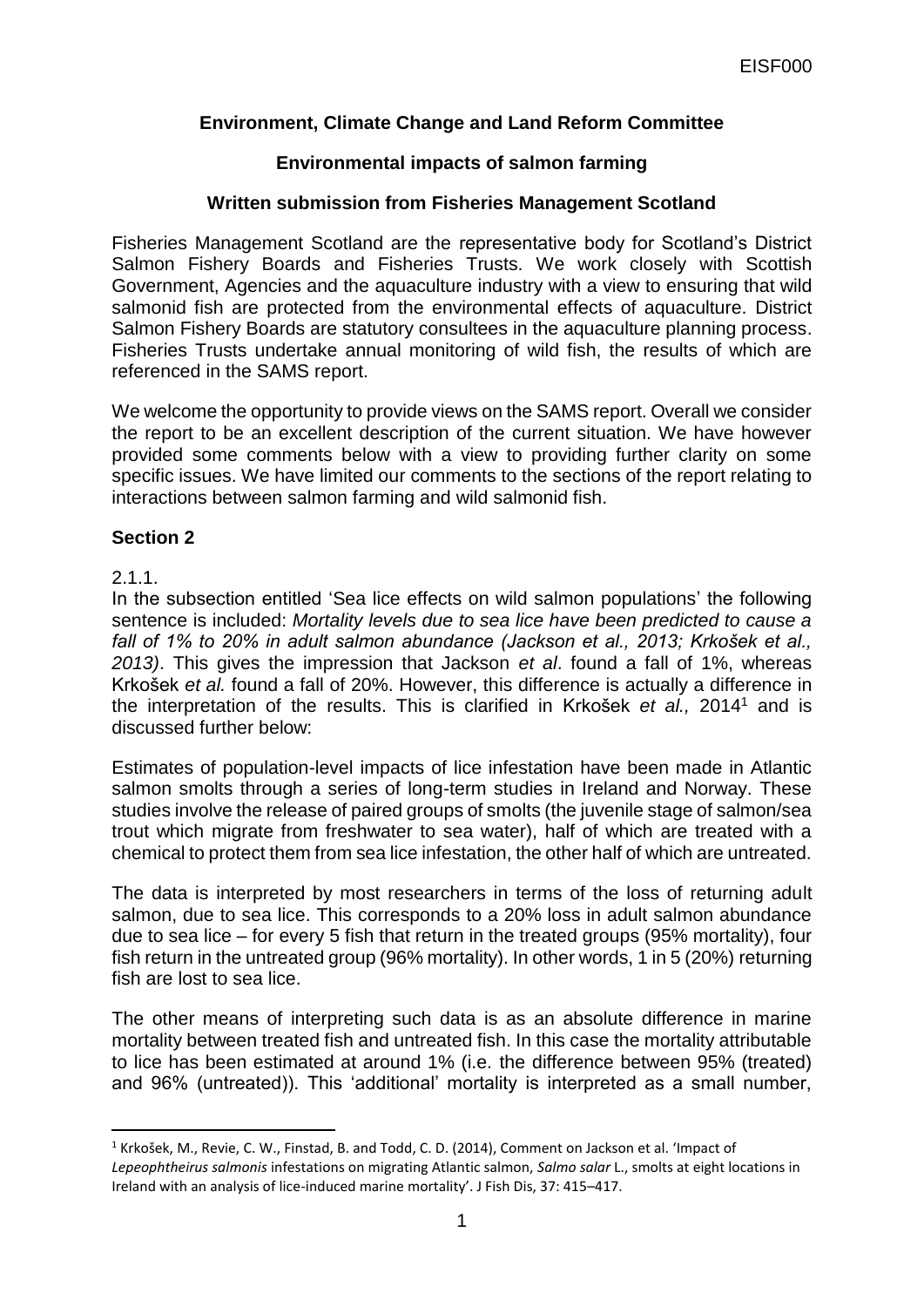# **Environment, Climate Change and Land Reform Committee**

## **Environmental impacts of salmon farming**

### **Written submission from Fisheries Management Scotland**

Fisheries Management Scotland are the representative body for Scotland's District Salmon Fishery Boards and Fisheries Trusts. We work closely with Scottish Government, Agencies and the aquaculture industry with a view to ensuring that wild salmonid fish are protected from the environmental effects of aquaculture. District Salmon Fishery Boards are statutory consultees in the aquaculture planning process. Fisheries Trusts undertake annual monitoring of wild fish, the results of which are referenced in the SAMS report.

We welcome the opportunity to provide views on the SAMS report. Overall we consider the report to be an excellent description of the current situation. We have however provided some comments below with a view to providing further clarity on some specific issues. We have limited our comments to the sections of the report relating to interactions between salmon farming and wild salmonid fish.

#### **Section 2**

2.1.1.

**.** 

In the subsection entitled 'Sea lice effects on wild salmon populations' the following sentence is included: *Mortality levels due to sea lice have been predicted to cause a fall of 1% to 20% in adult salmon abundance (Jackson et al., 2013; Krkošek et al., 2013)*. This gives the impression that Jackson *et al*. found a fall of 1%, whereas Krkošek *et al.* found a fall of 20%. However, this difference is actually a difference in the interpretation of the results. This is clarified in Krkošek *et al.,* 2014 <sup>1</sup> and is discussed further below:

Estimates of population-level impacts of lice infestation have been made in Atlantic salmon smolts through a series of long-term studies in Ireland and Norway. These studies involve the release of paired groups of smolts (the juvenile stage of salmon/sea trout which migrate from freshwater to sea water), half of which are treated with a chemical to protect them from sea lice infestation, the other half of which are untreated.

The data is interpreted by most researchers in terms of the loss of returning adult salmon, due to sea lice. This corresponds to a 20% loss in adult salmon abundance due to sea lice – for every 5 fish that return in the treated groups (95% mortality), four fish return in the untreated group (96% mortality). In other words, 1 in 5 (20%) returning fish are lost to sea lice.

The other means of interpreting such data is as an absolute difference in marine mortality between treated fish and untreated fish. In this case the mortality attributable to lice has been estimated at around 1% (i.e. the difference between 95% (treated) and 96% (untreated)). This 'additional' mortality is interpreted as a small number,

<sup>1</sup> Krkošek, M., Revie, C. W., Finstad, B. and Todd, C. D. (2014), Comment on Jackson et al. 'Impact of *Lepeophtheirus salmonis* infestations on migrating Atlantic salmon, *Salmo salar* L., smolts at eight locations in Ireland with an analysis of lice-induced marine mortality'. J Fish Dis, 37: 415–417.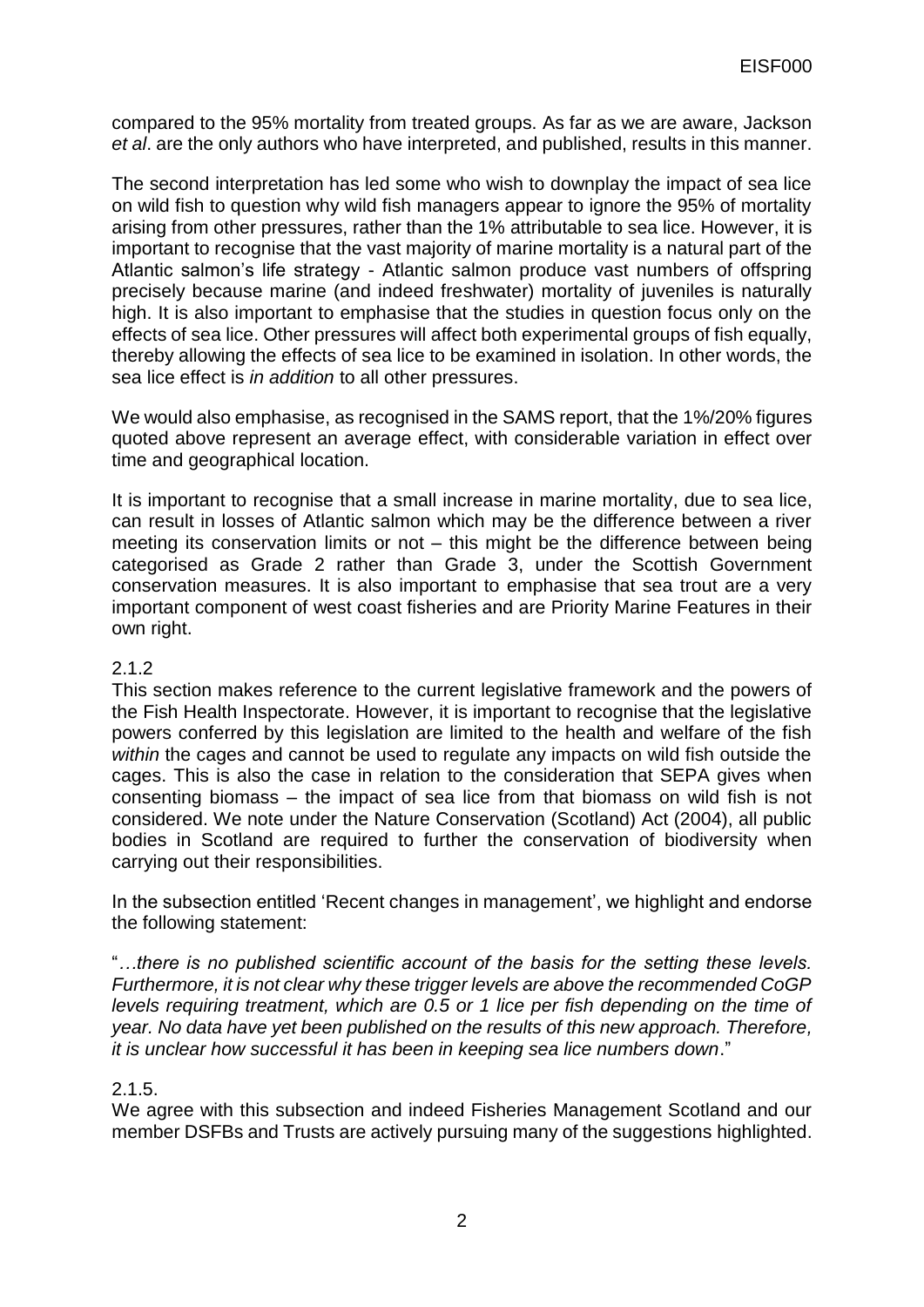compared to the 95% mortality from treated groups. As far as we are aware, Jackson *et al*. are the only authors who have interpreted, and published, results in this manner.

The second interpretation has led some who wish to downplay the impact of sea lice on wild fish to question why wild fish managers appear to ignore the 95% of mortality arising from other pressures, rather than the 1% attributable to sea lice. However, it is important to recognise that the vast majority of marine mortality is a natural part of the Atlantic salmon's life strategy - Atlantic salmon produce vast numbers of offspring precisely because marine (and indeed freshwater) mortality of juveniles is naturally high. It is also important to emphasise that the studies in question focus only on the effects of sea lice. Other pressures will affect both experimental groups of fish equally, thereby allowing the effects of sea lice to be examined in isolation. In other words, the sea lice effect is *in addition* to all other pressures.

We would also emphasise, as recognised in the SAMS report, that the 1%/20% figures quoted above represent an average effect, with considerable variation in effect over time and geographical location.

It is important to recognise that a small increase in marine mortality, due to sea lice, can result in losses of Atlantic salmon which may be the difference between a river meeting its conservation limits or not – this might be the difference between being categorised as Grade 2 rather than Grade 3, under the Scottish Government conservation measures. It is also important to emphasise that sea trout are a very important component of west coast fisheries and are Priority Marine Features in their own right.

#### 2.1.2

This section makes reference to the current legislative framework and the powers of the Fish Health Inspectorate. However, it is important to recognise that the legislative powers conferred by this legislation are limited to the health and welfare of the fish *within* the cages and cannot be used to regulate any impacts on wild fish outside the cages. This is also the case in relation to the consideration that SEPA gives when consenting biomass – the impact of sea lice from that biomass on wild fish is not considered. We note under the Nature Conservation (Scotland) Act (2004), all public bodies in Scotland are required to further the conservation of biodiversity when carrying out their responsibilities.

In the subsection entitled 'Recent changes in management', we highlight and endorse the following statement:

"*…there is no published scientific account of the basis for the setting these levels. Furthermore, it is not clear why these trigger levels are above the recommended CoGP levels requiring treatment, which are 0.5 or 1 lice per fish depending on the time of year. No data have yet been published on the results of this new approach. Therefore, it is unclear how successful it has been in keeping sea lice numbers down*."

#### 2.1.5.

We agree with this subsection and indeed Fisheries Management Scotland and our member DSFBs and Trusts are actively pursuing many of the suggestions highlighted.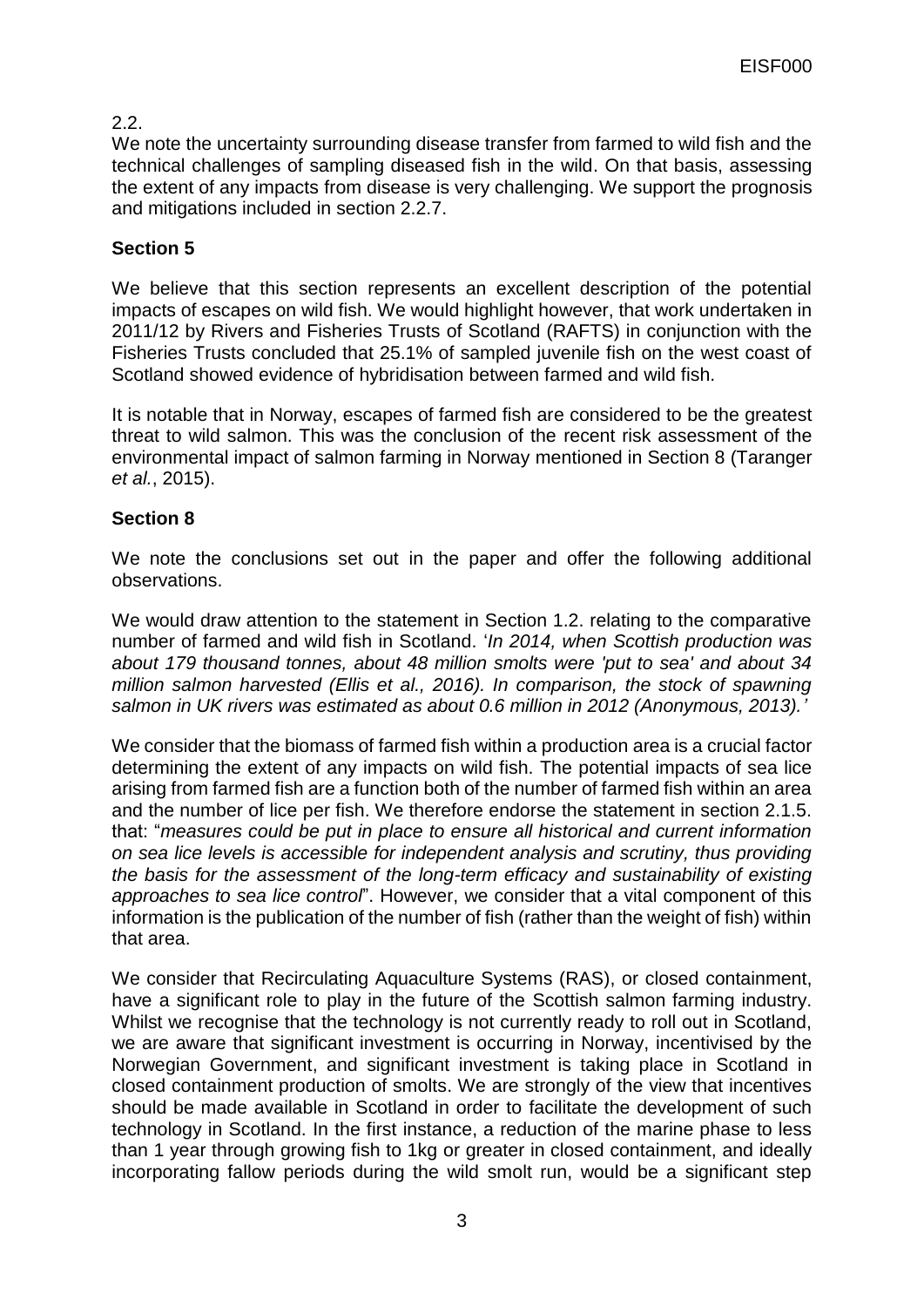## 2.2.

We note the uncertainty surrounding disease transfer from farmed to wild fish and the technical challenges of sampling diseased fish in the wild. On that basis, assessing the extent of any impacts from disease is very challenging. We support the prognosis and mitigations included in section 2.2.7.

## **Section 5**

We believe that this section represents an excellent description of the potential impacts of escapes on wild fish. We would highlight however, that work undertaken in 2011/12 by Rivers and Fisheries Trusts of Scotland (RAFTS) in conjunction with the Fisheries Trusts concluded that 25.1% of sampled juvenile fish on the west coast of Scotland showed evidence of hybridisation between farmed and wild fish.

It is notable that in Norway, escapes of farmed fish are considered to be the greatest threat to wild salmon. This was the conclusion of the recent risk assessment of the environmental impact of salmon farming in Norway mentioned in Section 8 (Taranger *et al.*, 2015).

### **Section 8**

We note the conclusions set out in the paper and offer the following additional observations.

We would draw attention to the statement in Section 1.2. relating to the comparative number of farmed and wild fish in Scotland. '*In 2014, when Scottish production was about 179 thousand tonnes, about 48 million smolts were 'put to sea' and about 34 million salmon harvested (Ellis et al., 2016). In comparison, the stock of spawning salmon in UK rivers was estimated as about 0.6 million in 2012 (Anonymous, 2013).'*

We consider that the biomass of farmed fish within a production area is a crucial factor determining the extent of any impacts on wild fish. The potential impacts of sea lice arising from farmed fish are a function both of the number of farmed fish within an area and the number of lice per fish. We therefore endorse the statement in section 2.1.5. that: "*measures could be put in place to ensure all historical and current information on sea lice levels is accessible for independent analysis and scrutiny, thus providing the basis for the assessment of the long-term efficacy and sustainability of existing approaches to sea lice control*". However, we consider that a vital component of this information is the publication of the number of fish (rather than the weight of fish) within that area.

We consider that Recirculating Aquaculture Systems (RAS), or closed containment, have a significant role to play in the future of the Scottish salmon farming industry. Whilst we recognise that the technology is not currently ready to roll out in Scotland, we are aware that significant investment is occurring in Norway, incentivised by the Norwegian Government, and significant investment is taking place in Scotland in closed containment production of smolts. We are strongly of the view that incentives should be made available in Scotland in order to facilitate the development of such technology in Scotland. In the first instance, a reduction of the marine phase to less than 1 year through growing fish to 1kg or greater in closed containment, and ideally incorporating fallow periods during the wild smolt run, would be a significant step